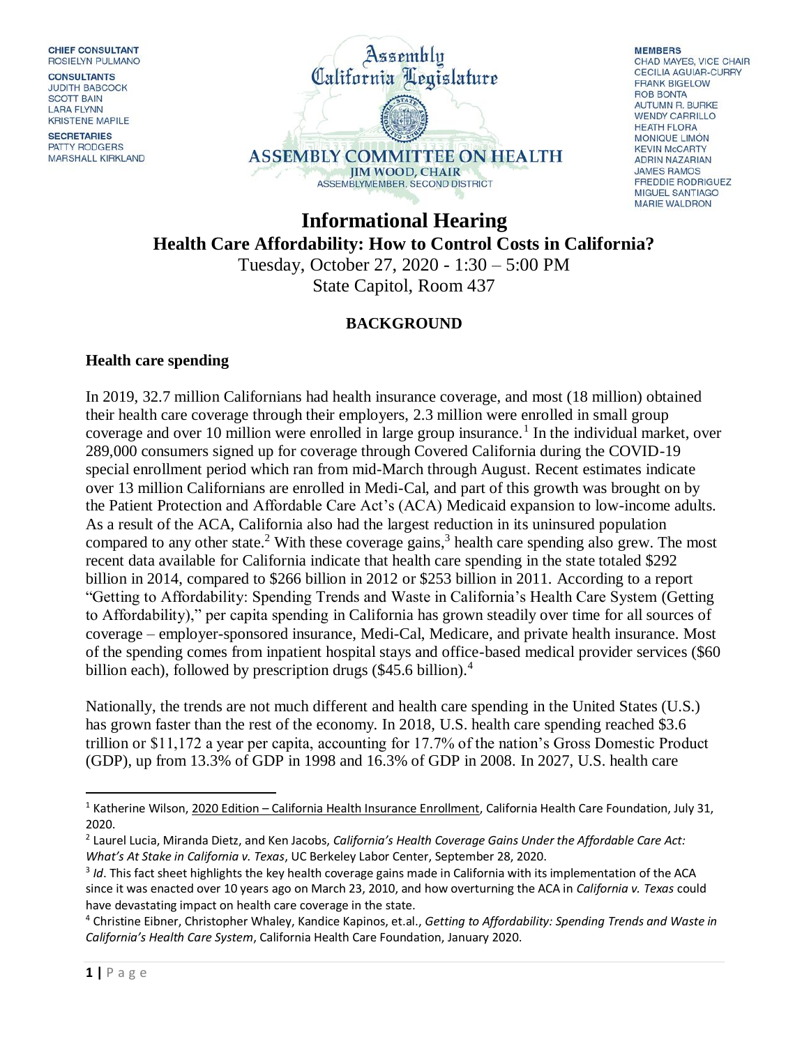**CHIEF CONSULTANT ROSIELYN PULMANO** 

**CONSULTANTS JUDITH BABCOCK SCOTT BAIN LARA FLYNN KRISTENE MAPILE** 

**SECRETARIES** PATTY RODGERS **MARSHALL KIRKLAND** 



**MEMBERS** CHAD MAYES, VICE CHAIR **CECILIA AGUIAR-CURRY FRANK BIGELOW ROB BONTA AUTUMN R. BURKE WENDY CARRILLO HEATH FLORA** MONIOUE LIMÓN **KEVIN McCARTY ADRIN NAZARIAN JAMES RAMOS FREDDIE RODRIGUEZ MIGUEL SANTIAGO MARIE WALDRON** 

**Informational Hearing Health Care Affordability: How to Control Costs in California?** Tuesday, October 27, 2020 - 1:30 – 5:00 PM

State Capitol, Room 437

# **BACKGROUND**

#### **Health care spending**

In 2019, 32.7 million Californians had health insurance coverage, and most (18 million) obtained their health care coverage through their employers, 2.3 million were enrolled in small group coverage and over 10 million were enrolled in large group insurance.<sup>1</sup> In the individual market, over 289,000 consumers signed up for coverage through Covered California during the COVID-19 special enrollment period which ran from mid-March through August. Recent estimates indicate over 13 million Californians are enrolled in Medi-Cal, and part of this growth was brought on by the Patient Protection and Affordable Care Act's (ACA) Medicaid expansion to low-income adults. As a result of the ACA, California also had the largest reduction in its uninsured population compared to any other state.<sup>2</sup> With these coverage gains,<sup>3</sup> health care spending also grew. The most recent data available for California indicate that health care spending in the state totaled \$292 billion in 2014, compared to \$266 billion in 2012 or \$253 billion in 2011. According to a report "Getting to Affordability: Spending Trends and Waste in California's Health Care System (Getting to Affordability)," per capita spending in California has grown steadily over time for all sources of coverage – employer-sponsored insurance, Medi-Cal, Medicare, and private health insurance. Most of the spending comes from inpatient hospital stays and office-based medical provider services (\$60 billion each), followed by prescription drugs  $(\$45.6$  billion).<sup>4</sup>

Nationally, the trends are not much different and health care spending in the United States (U.S.) has grown faster than the rest of the economy. In 2018, U.S. health care spending reached \$3.6 trillion or \$11,172 a year per capita, accounting for 17.7% of the nation's Gross Domestic Product (GDP), up from 13.3% of GDP in 1998 and 16.3% of GDP in 2008. In 2027, U.S. health care

 $\overline{a}$ 

<sup>&</sup>lt;sup>1</sup> Katherine Wilson, 2020 Edition – California Health Insurance Enrollment, California Health Care Foundation, July 31, 2020.

<sup>2</sup> Laurel Lucia, Miranda Dietz, and Ken Jacobs, *California's Health Coverage Gains Under the Affordable Care Act: What's At Stake in California v. Texas*, UC Berkeley Labor Center, September 28, 2020.

<sup>&</sup>lt;sup>3</sup> Id. This fact sheet highlights the key health coverage gains made in California with its implementation of the ACA since it was enacted over 10 years ago on March 23, 2010, and how overturning the ACA in *California v. Texas* could have devastating impact on health care coverage in the state.

<sup>4</sup> Christine Eibner, Christopher Whaley, Kandice Kapinos, et.al., *Getting to Affordability: Spending Trends and Waste in California's Health Care System*, California Health Care Foundation, January 2020.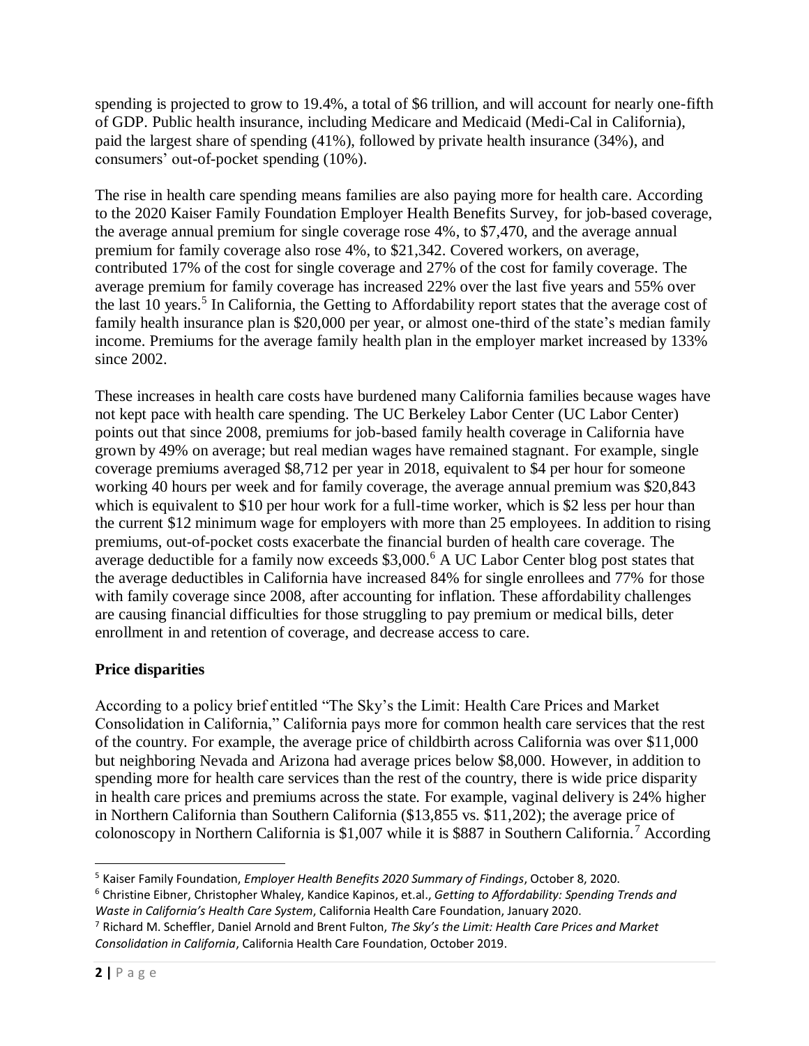spending is projected to grow to 19.4%, a total of \$6 trillion, and will account for nearly one-fifth of GDP. Public health insurance, including Medicare and Medicaid (Medi-Cal in California), paid the largest share of spending (41%), followed by private health insurance (34%), and consumers' out-of-pocket spending (10%).

The rise in health care spending means families are also paying more for health care. According to the 2020 Kaiser Family Foundation Employer Health Benefits Survey, for job-based coverage, the average annual premium for single coverage rose 4%, to \$7,470, and the average annual premium for family coverage also rose 4%, to \$21,342. Covered workers, on average, contributed 17% of the cost for single coverage and 27% of the cost for family coverage. The average premium for family coverage has increased 22% over the last five years and 55% over the last 10 years.<sup>5</sup> In California, the Getting to Affordability report states that the average cost of family health insurance plan is \$20,000 per year, or almost one-third of the state's median family income. Premiums for the average family health plan in the employer market increased by 133% since 2002.

These increases in health care costs have burdened many California families because wages have not kept pace with health care spending. The UC Berkeley Labor Center (UC Labor Center) points out that since 2008, premiums for job-based family health coverage in California have grown by 49% on average; but real median wages have remained stagnant. For example, single coverage premiums averaged \$8,712 per year in 2018, equivalent to \$4 per hour for someone working 40 hours per week and for family coverage, the average annual premium was \$20,843 which is equivalent to \$10 per hour work for a full-time worker, which is \$2 less per hour than the current \$12 minimum wage for employers with more than 25 employees*.* In addition to rising premiums, out-of-pocket costs exacerbate the financial burden of health care coverage. The average deductible for a family now exceeds \$3,000.<sup>6</sup> A UC Labor Center blog post states that the average deductibles in California have increased 84% for single enrollees and 77% for those with family coverage since 2008, after accounting for inflation. These affordability challenges are causing financial difficulties for those struggling to pay premium or medical bills, deter enrollment in and retention of coverage, and decrease access to care.

# **Price disparities**

According to a policy brief entitled "The Sky's the Limit: Health Care Prices and Market Consolidation in California," California pays more for common health care services that the rest of the country. For example, the average price of childbirth across California was over \$11,000 but neighboring Nevada and Arizona had average prices below \$8,000. However, in addition to spending more for health care services than the rest of the country, there is wide price disparity in health care prices and premiums across the state. For example, vaginal delivery is 24% higher in Northern California than Southern California (\$13,855 vs. \$11,202); the average price of colonoscopy in Northern California is \$1,007 while it is \$887 in Southern California.<sup>7</sup> According

 $\overline{\phantom{a}}$ <sup>5</sup> Kaiser Family Foundation, *Employer Health Benefits 2020 Summary of Findings*, October 8, 2020.

<sup>6</sup> Christine Eibner, Christopher Whaley, Kandice Kapinos, et.al., *Getting to Affordability: Spending Trends and Waste in California's Health Care System*, California Health Care Foundation, January 2020.

<sup>7</sup> Richard M. Scheffler, Daniel Arnold and Brent Fulton, *The Sky's the Limit: Health Care Prices and Market Consolidation in California*, California Health Care Foundation, October 2019.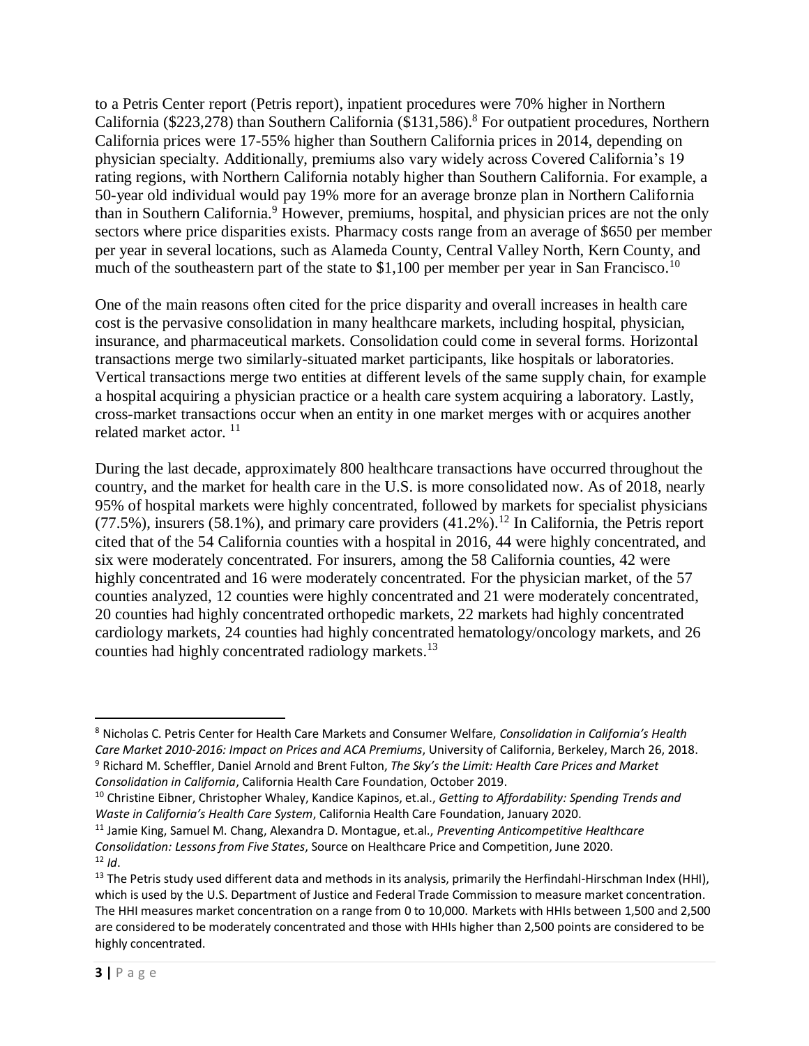to a Petris Center report (Petris report), inpatient procedures were 70% higher in Northern California (\$223,278) than Southern California (\$131,586).<sup>8</sup> For outpatient procedures, Northern California prices were 17-55% higher than Southern California prices in 2014, depending on physician specialty. Additionally, premiums also vary widely across Covered California's 19 rating regions, with Northern California notably higher than Southern California. For example, a 50-year old individual would pay 19% more for an average bronze plan in Northern California than in Southern California.<sup>9</sup> However, premiums, hospital, and physician prices are not the only sectors where price disparities exists. Pharmacy costs range from an average of \$650 per member per year in several locations, such as Alameda County, Central Valley North, Kern County, and much of the southeastern part of the state to  $$1,100$  per member per year in San Francisco.<sup>10</sup>

One of the main reasons often cited for the price disparity and overall increases in health care cost is the pervasive consolidation in many healthcare markets, including hospital, physician, insurance, and pharmaceutical markets. Consolidation could come in several forms. Horizontal transactions merge two similarly-situated market participants, like hospitals or laboratories. Vertical transactions merge two entities at different levels of the same supply chain, for example a hospital acquiring a physician practice or a health care system acquiring a laboratory. Lastly, cross-market transactions occur when an entity in one market merges with or acquires another related market actor.<sup>11</sup>

During the last decade, approximately 800 healthcare transactions have occurred throughout the country, and the market for health care in the U.S. is more consolidated now. As of 2018, nearly 95% of hospital markets were highly concentrated, followed by markets for specialist physicians  $(77.5\%)$ , insurers  $(58.1\%)$ , and primary care providers  $(41.2\%)$ .<sup>12</sup> In California, the Petris report cited that of the 54 California counties with a hospital in 2016, 44 were highly concentrated, and six were moderately concentrated. For insurers, among the 58 California counties, 42 were highly concentrated and 16 were moderately concentrated. For the physician market, of the 57 counties analyzed, 12 counties were highly concentrated and 21 were moderately concentrated, 20 counties had highly concentrated orthopedic markets, 22 markets had highly concentrated cardiology markets, 24 counties had highly concentrated hematology/oncology markets, and 26 counties had highly concentrated radiology markets.<sup>13</sup>

 $\overline{a}$ <sup>8</sup> Nicholas C. Petris Center for Health Care Markets and Consumer Welfare, *Consolidation in California's Health Care Market 2010-2016: Impact on Prices and ACA Premiums*, University of California, Berkeley, March 26, 2018. <sup>9</sup> Richard M. Scheffler, Daniel Arnold and Brent Fulton, *The Sky's the Limit: Health Care Prices and Market Consolidation in California*, California Health Care Foundation, October 2019.

<sup>10</sup> Christine Eibner, Christopher Whaley, Kandice Kapinos, et.al., *Getting to Affordability: Spending Trends and Waste in California's Health Care System*, California Health Care Foundation, January 2020.

<sup>11</sup> Jamie King, Samuel M. Chang, Alexandra D. Montague, et.al., *Preventing Anticompetitive Healthcare Consolidation: Lessons from Five States*, Source on Healthcare Price and Competition, June 2020.  $12$  *Id*.

<sup>&</sup>lt;sup>13</sup> The Petris study used different data and methods in its analysis, primarily the Herfindahl-Hirschman Index (HHI), which is used by the U.S. Department of Justice and Federal Trade Commission to measure market concentration. The HHI measures market concentration on a range from 0 to 10,000. Markets with HHIs between 1,500 and 2,500 are considered to be moderately concentrated and those with HHIs higher than 2,500 points are considered to be highly concentrated.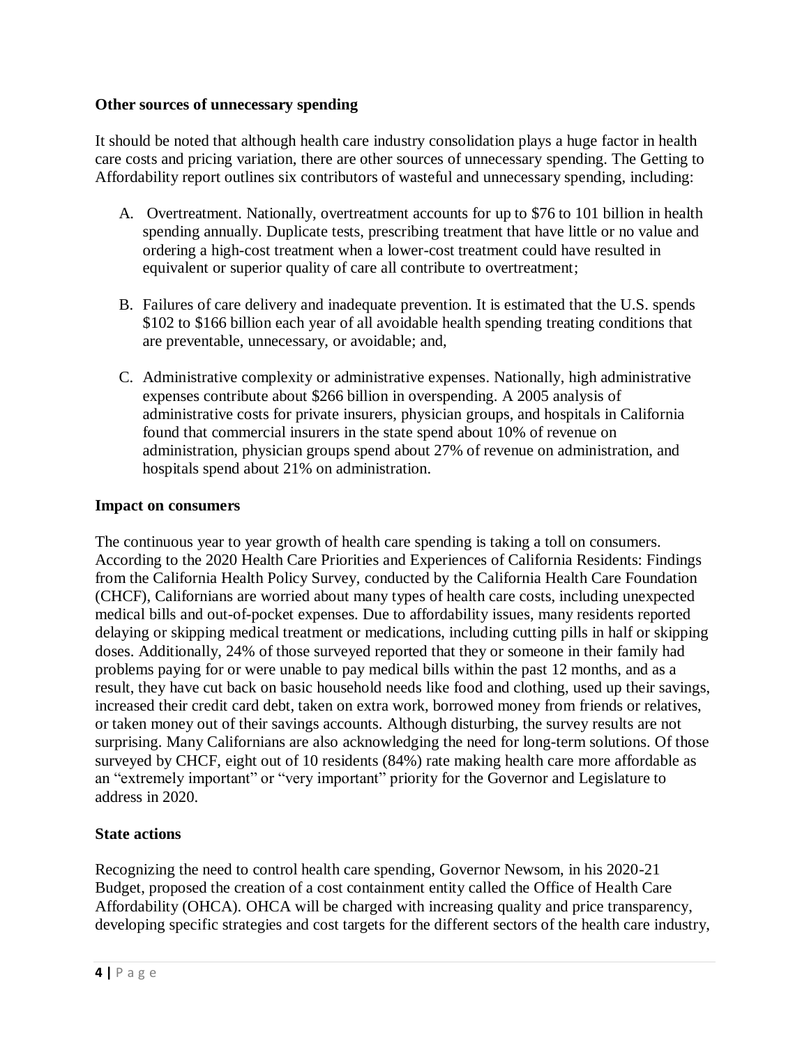### **Other sources of unnecessary spending**

It should be noted that although health care industry consolidation plays a huge factor in health care costs and pricing variation, there are other sources of unnecessary spending. The Getting to Affordability report outlines six contributors of wasteful and unnecessary spending, including:

- A. Overtreatment. Nationally, overtreatment accounts for up to \$76 to 101 billion in health spending annually. Duplicate tests, prescribing treatment that have little or no value and ordering a high-cost treatment when a lower-cost treatment could have resulted in equivalent or superior quality of care all contribute to overtreatment;
- B. Failures of care delivery and inadequate prevention. It is estimated that the U.S. spends \$102 to \$166 billion each year of all avoidable health spending treating conditions that are preventable, unnecessary, or avoidable; and,
- C. Administrative complexity or administrative expenses. Nationally, high administrative expenses contribute about \$266 billion in overspending. A 2005 analysis of administrative costs for private insurers, physician groups, and hospitals in California found that commercial insurers in the state spend about 10% of revenue on administration, physician groups spend about 27% of revenue on administration, and hospitals spend about 21% on administration.

#### **Impact on consumers**

The continuous year to year growth of health care spending is taking a toll on consumers. According to the 2020 Health Care Priorities and Experiences of California Residents: Findings from the California Health Policy Survey, conducted by the California Health Care Foundation (CHCF), Californians are worried about many types of health care costs, including unexpected medical bills and out-of-pocket expenses. Due to affordability issues, many residents reported delaying or skipping medical treatment or medications, including cutting pills in half or skipping doses. Additionally, 24% of those surveyed reported that they or someone in their family had problems paying for or were unable to pay medical bills within the past 12 months, and as a result, they have cut back on basic household needs like food and clothing, used up their savings, increased their credit card debt, taken on extra work, borrowed money from friends or relatives, or taken money out of their savings accounts. Although disturbing, the survey results are not surprising. Many Californians are also acknowledging the need for long-term solutions. Of those surveyed by CHCF, eight out of 10 residents (84%) rate making health care more affordable as an "extremely important" or "very important" priority for the Governor and Legislature to address in 2020.

## **State actions**

Recognizing the need to control health care spending, Governor Newsom, in his 2020-21 Budget, proposed the creation of a cost containment entity called the Office of Health Care Affordability (OHCA). OHCA will be charged with increasing quality and price transparency, developing specific strategies and cost targets for the different sectors of the health care industry,